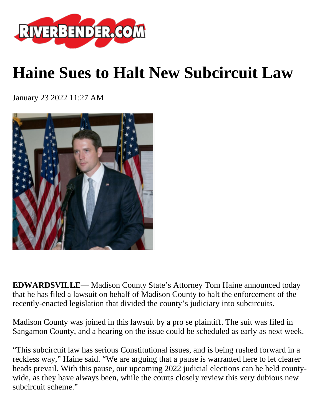

## **Haine Sues to Halt New Subcircuit Law**

January 23 2022 11:27 AM



**EDWARDSVILLE**— Madison County State's Attorney Tom Haine announced today that he has filed a lawsuit on behalf of Madison County to halt the enforcement of the recently-enacted legislation that divided the county's judiciary into subcircuits.

Madison County was joined in this lawsuit by a pro se plaintiff. The suit was filed in Sangamon County, and a hearing on the issue could be scheduled as early as next week.

"This subcircuit law has serious Constitutional issues, and is being rushed forward in a reckless way," Haine said. "We are arguing that a pause is warranted here to let clearer heads prevail. With this pause, our upcoming 2022 judicial elections can be held countywide, as they have always been, while the courts closely review this very dubious new subcircuit scheme."